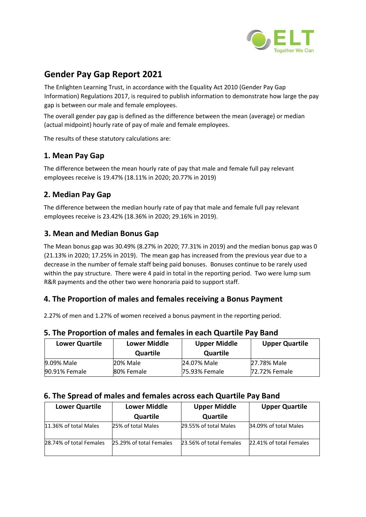

# **Gender Pay Gap Report 2021**

The Enlighten Learning Trust, in accordance with the Equality Act 2010 (Gender Pay Gap Information) Regulations 2017, is required to publish information to demonstrate how large the pay gap is between our male and female employees.

The overall gender pay gap is defined as the difference between the mean (average) or median (actual midpoint) hourly rate of pay of male and female employees.

The results of these statutory calculations are:

## **1. Mean Pay Gap**

The difference between the mean hourly rate of pay that male and female full pay relevant employees receive is 19.47% (18.11% in 2020; 20.77% in 2019)

## **2. Median Pay Gap**

The difference between the median hourly rate of pay that male and female full pay relevant employees receive is 23.42% (18.36% in 2020; 29.16% in 2019).

### **3. Mean and Median Bonus Gap**

The Mean bonus gap was 30.49% (8.27% in 2020; 77.31% in 2019) and the median bonus gap was 0 (21.13% in 2020; 17.25% in 2019). The mean gap has increased from the previous year due to a decrease in the number of female staff being paid bonuses. Bonuses continue to be rarely used within the pay structure. There were 4 paid in total in the reporting period. Two were lump sum R&R payments and the other two were honoraria paid to support staff.

### **4. The Proportion of males and females receiving a Bonus Payment**

2.27% of men and 1.27% of women received a bonus payment in the reporting period.

#### **5. The Proportion of males and females in each Quartile Pay Band**

| <b>Lower Quartile</b> | <b>Lower Middle</b><br>Quartile | <b>Upper Middle</b><br><b>Quartile</b> | <b>Upper Quartile</b> |
|-----------------------|---------------------------------|----------------------------------------|-----------------------|
| 9.09% Male            | 20% Male                        | 24.07% Male                            | 27.78% Male           |
| 90.91% Female         | 80% Female                      | <b>75.93% Female</b>                   | 72.72% Female         |

#### **6. The Spread of males and females across each Quartile Pay Band**

| <b>Lower Quartile</b>   | <b>Lower Middle</b>     | <b>Upper Middle</b>     | <b>Upper Quartile</b>   |
|-------------------------|-------------------------|-------------------------|-------------------------|
|                         | Quartile                | Quartile                |                         |
| 11.36% of total Males   | 25% of total Males      | 29.55% of total Males   | 34.09% of total Males   |
| 28.74% of total Females | 25.29% of total Females | 23.56% of total Females | 22.41% of total Females |